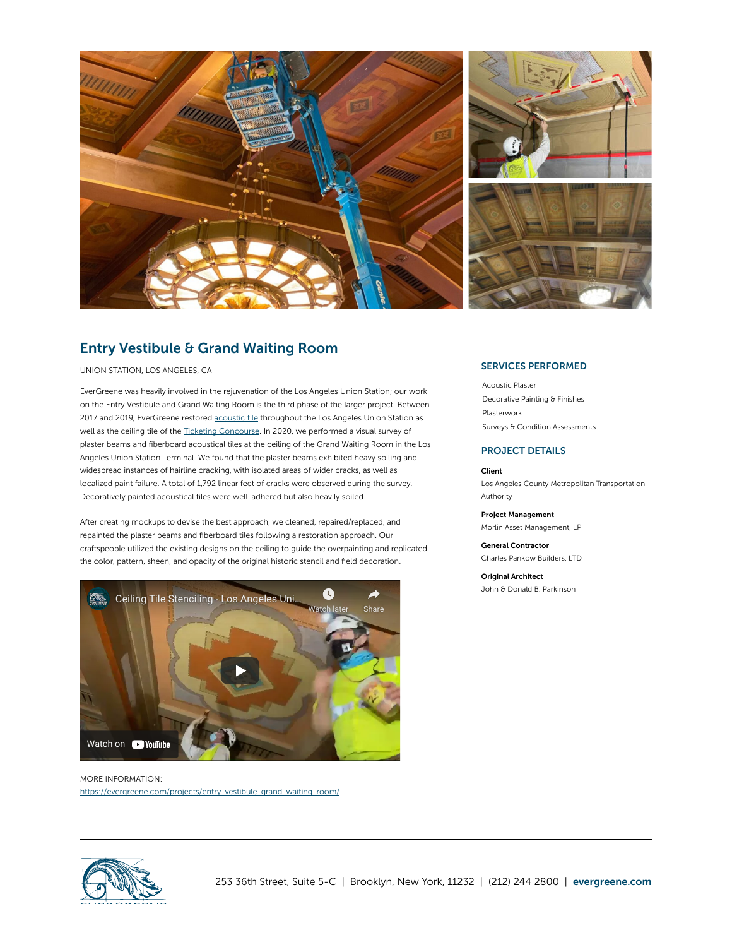

## Entry Vestibule & Grand Waiting Room

UNION STATION, LOS ANGELES, CA

EverGreene was heavily involved in the rejuvenation of the Los Angeles Union Station; our work on the Entry Vestibule and Grand Waiting Room is the third phase of the larger project. Between 2017 and 2019, EverGreene restored [acoustic](https://evergreene.com/projects/grand-waiting-room/) tile throughout the Los Angeles Union Station as well as the ceiling tile of the Ticketing [Concourse](https://evergreene.com/projects/la-union-station-ceiling-restoration/). In 2020, we performed a visual survey of plaster beams and fiberboard acoustical tiles at the ceiling of the Grand Waiting Room in the Los Angeles Union Station Terminal. We found that the plaster beams exhibited heavy soiling and widespread instances of hairline cracking, with isolated areas of wider cracks, as well as localized paint failure. A total of 1,792 linear feet of cracks were observed during the survey. Decoratively painted acoustical tiles were well-adhered but also heavily soiled.

After creating mockups to devise the best approach, we cleaned, repaired/replaced, and repainted the plaster beams and fiberboard tiles following a restoration approach. Our craftspeople utilized the existing designs on the ceiling to guide the overpainting and replicated the color, pattern, sheen, and opacity of the original historic stencil and field decoration.



MORE INFORMATION: https://evergreene.com/projects/entry-vestibule-grand-waiting-room/

## SERVICES PERFORMED

[Acoustic](https://evergreene.com/projects/entry-vestibule-grand-waiting-room/?pdf=true) Plaster [Decorative](https://evergreene.com/projects/entry-vestibule-grand-waiting-room/?pdf=true) Painting & Finishes [Plasterwork](https://evergreene.com/projects/entry-vestibule-grand-waiting-room/?pdf=true) Surveys & Condition [Assessments](https://evergreene.com/projects/entry-vestibule-grand-waiting-room/?pdf=true)

## PROJECT DETAILS

## Client

Los Angeles County Metropolitan Transportation Authority

Project Management Morlin Asset Management, LP

General Contractor Charles Pankow Builders, LTD

**Original Architect** John & Donald B. Parkinson